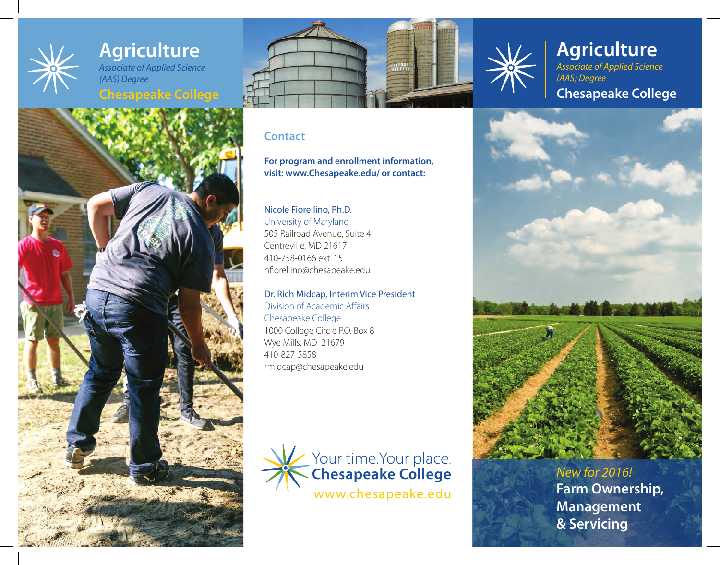## **Agriculture** *Associate of Applied Science (AAS) Degree*

# **Chesapeake College**





### **Contact**

**For program and enrollment information, visit: www.Chesapeake.edu/ or contact:**

# Nicole Fiorellino, Ph.D.

University of Maryland 505 Railroad Avenue, Suite 4 Centreville, MD 21617 410-758-0166 ext. 15 nfiorellino@chesapeake.edu

### Dr. Rich Midcap, Interim Vice President

Division of Academic Affairs Chesapeake College 1000 College Circle P.O. Box 8 Wye Mills, MD 21679 410-827-5858 rmidcap@chesapeake.edu





# **Agriculture** *Associate of Applied Science (AAS) Degree* **Chesapeake College**



**Management & Servicing** *New for 2016!*